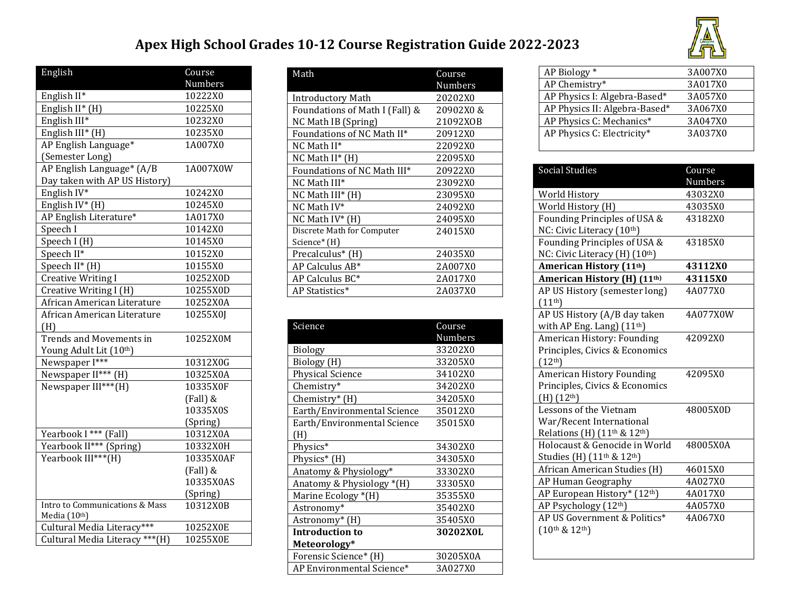## **Apex High School Grades 10-12 Course Registration Guide 2022-2023**



| English                         | Course<br>Numbers |
|---------------------------------|-------------------|
| English II*                     | 10222X0           |
| English II* (H)                 | 10225X0           |
| English III*                    | 10232X0           |
| English III* (H)                | 10235X0           |
| AP English Language*            | 1A007X0           |
| (Semester Long)                 |                   |
| AP English Language* (A/B       | 1A007X0W          |
| Day taken with AP US History)   |                   |
| English IV*                     | 10242X0           |
|                                 |                   |
| English IV* (H)                 | 10245X0           |
| AP English Literature*          | 1A017X0           |
| Speech I                        | 10142X0           |
| Speech I (H)                    | 10145X0           |
| Speech II*                      | 10152X0           |
| Speech $II^*$ (H)               | 10155X0           |
| <b>Creative Writing I</b>       | 10252X0D          |
| Creative Writing I (H)          | 10255X0D          |
| African American Literature     | 10252X0A          |
| African American Literature     | 10255X0J          |
| (H)                             |                   |
| <b>Trends and Movements in</b>  | 10252X0M          |
| Young Adult Lit (10th)          |                   |
| Newspaper I***                  | 10312X0G          |
| Newspaper II*** (H)             | 10325X0A          |
| Newspaper III***(H)             | 10335X0F          |
|                                 | (Fall) &          |
|                                 | 10335X0S          |
|                                 | (Spring)          |
| Yearbook I *** (Fall)           | 10312X0A          |
| Yearbook II*** (Spring)         | 10332X0H          |
| Yearbook III***(H)              | 10335X0AF         |
|                                 | (Fall) &          |
|                                 | 10335X0AS         |
|                                 | (Spring)          |
| Intro to Communications & Mass  | 10312X0B          |
| Media (10th)                    |                   |
| Cultural Media Literacy***      | 10252X0E          |
| Cultural Media Literacy *** (H) | 10255X0E          |

| Math                           | Course    |
|--------------------------------|-----------|
|                                | Numbers   |
| <b>Introductory Math</b>       | 20202X0   |
| Foundations of Math I (Fall) & | 20902X0 & |
| NC Math IB (Spring)            | 21092XOB  |
| Foundations of NC Math II*     | 20912X0   |
| NC Math II*                    | 22092X0   |
| $NC$ Math II* $(H)$            | 22095X0   |
| Foundations of NC Math III*    | 20922X0   |
| NC Math III*                   | 23092X0   |
| $NC$ Math $III^*$ (H)          | 23095X0   |
| NC Math IV*                    | 24092X0   |
| NC Math $IV^*$ (H)             | 24095X0   |
| Discrete Math for Computer     | 24015X0   |
| Science* (H)                   |           |
| Precalculus <sup>*</sup> (H)   | 24035X0   |
| AP Calculus AB*                | 2A007X0   |
| AP Calculus BC*                | 2A017X0   |
| AP Statistics*                 | 2A037X0   |

| Science                     | Course         |
|-----------------------------|----------------|
|                             | <b>Numbers</b> |
| Biology                     | 33202X0        |
| Biology (H)                 | 33205X0        |
| <b>Physical Science</b>     | 34102X0        |
| Chemistry*                  | 34202X0        |
| Chemistry* (H)              | 34205X0        |
| Earth/Environmental Science | 35012X0        |
| Earth/Environmental Science | 35015X0        |
| (H)                         |                |
| Physics*                    | 34302X0        |
| Physics* (H)                | 34305X0        |
| Anatomy & Physiology*       | 33302X0        |
| Anatomy & Physiology *(H)   | 33305X0        |
| Marine Ecology *(H)         | 35355X0        |
| Astronomy*                  | 35402X0        |
| Astronomy* (H)              | 35405X0        |
| <b>Introduction to</b>      | 30202X0L       |
| Meteorology*                |                |
| Forensic Science* (H)       | 30205X0A       |
| AP Environmental Science*   | 3A027X0        |

| AP Biology *                  | 3A007X0 |
|-------------------------------|---------|
| AP Chemistry*                 | 3A017X0 |
| AP Physics I: Algebra-Based*  | 3A057X0 |
| AP Physics II: Algebra-Based* | 3A067X0 |
| AP Physics C: Mechanics*      | 3A047X0 |
| AP Physics C: Electricity*    | 3A037X0 |
|                               |         |

| <b>Social Studies</b>                              | Course         |
|----------------------------------------------------|----------------|
|                                                    | <b>Numbers</b> |
| World History                                      | 43032X0        |
| World History (H)                                  | 43035X0        |
| Founding Principles of USA &                       | 43182X0        |
| NC: Civic Literacy (10th)                          |                |
| Founding Principles of USA &                       | 43185X0        |
| NC: Civic Literacy (H) (10th)                      |                |
| <b>American History (11th)</b>                     | 43112X0        |
| American History (H) (11 <sup>th)</sup>            | 43115X0        |
| AP US History (semester long)                      | 4A077X0        |
| $(11^{th})$                                        |                |
| AP US History (A/B day taken                       | 4A077X0W       |
| with AP Eng. Lang) $(11th)$                        |                |
| American History: Founding                         | 42092X0        |
| Principles, Civics & Economics                     |                |
| (12 <sup>th</sup> )                                |                |
| <b>American History Founding</b>                   | 42095X0        |
| Principles, Civics & Economics                     |                |
| $(H)$ $(12th)$                                     |                |
| Lessons of the Vietnam                             | 48005X0D       |
| War/Recent International                           |                |
| Relations (H) $(11th \& 12th)$                     |                |
| Holocaust & Genocide in World                      | 48005X0A       |
| Studies (H) (11 <sup>th</sup> & 12 <sup>th</sup> ) |                |
| African American Studies (H)                       | 46015X0        |
| AP Human Geography                                 | 4A027X0        |
| AP European History* (12th)                        | 4A017X0        |
| AP Psychology (12 <sup>th</sup> )                  | 4A057X0        |
| AP US Government & Politics*                       | 4A067X0        |
| $(10^{th}$ & $12^{th})$                            |                |
|                                                    |                |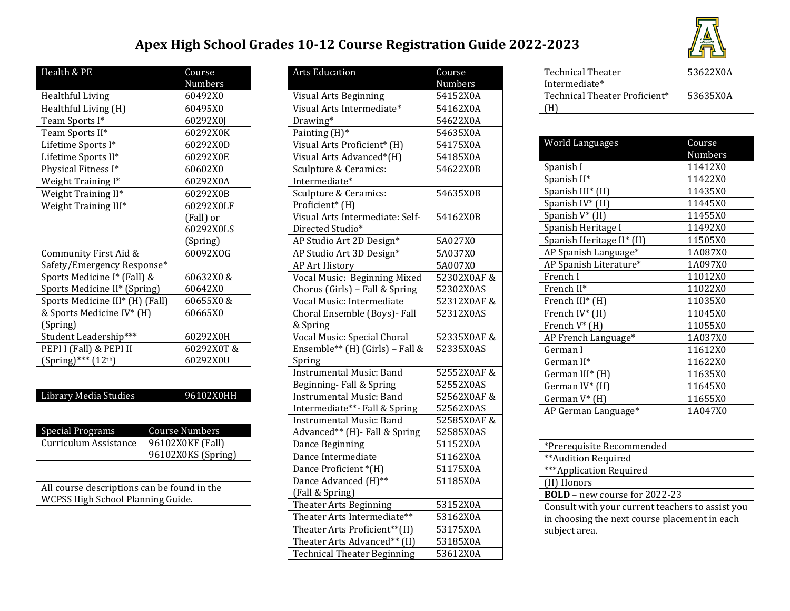## **Apex High School Grades 10-12 Course Registration Guide 2022-2023**



| Health & PE                     | Course     |
|---------------------------------|------------|
|                                 | Numbers    |
| Healthful Living                | 60492X0    |
| Healthful Living (H)            | 60495X0    |
| Team Sports I*                  | 60292X0J   |
| Team Sports II*                 | 60292X0K   |
| Lifetime Sports I*              | 60292X0D   |
| Lifetime Sports II*             | 60292X0E   |
| Physical Fitness I*             | 60602X0    |
| Weight Training I*              | 60292X0A   |
| Weight Training II*             | 60292X0B   |
| Weight Training III*            | 60292X0LF  |
|                                 | (Fall) or  |
|                                 | 60292X0LS  |
|                                 | (Spring)   |
| Community First Aid &           | 60092XOG   |
| Safety/Emergency Response*      |            |
| Sports Medicine I* (Fall) &     | 60632X0 &  |
| Sports Medicine II* (Spring)    | 60642X0    |
| Sports Medicine III* (H) (Fall) | 60655X0 &  |
| & Sports Medicine IV* (H)       | 60665X0    |
| (Spring)                        |            |
| Student Leadership***           | 60292X0H   |
| PEPI I (Fall) & PEPI II         | 60292X0T & |
| $(Spring)$ *** $(12th)$         | 60292X0U   |

| <b>Library Media Studies</b> | 96102X0HH          |
|------------------------------|--------------------|
|                              |                    |
|                              |                    |
| Special Programs             | Course Numbers     |
| Curriculum Assistance        | 96102X0KF (Fall)   |
|                              | 96102X0KS (Spring) |
|                              |                    |
|                              |                    |

All course descriptions can be found in the WCPSS High School Planning Guide.

| <b>Arts Education</b>              | Course     |
|------------------------------------|------------|
|                                    | Numbers    |
| Visual Arts Beginning              | 54152X0A   |
| Visual Arts Intermediate*          | 54162X0A   |
| Drawing*                           | 54622X0A   |
| Painting (H)*                      | 54635X0A   |
| Visual Arts Proficient* (H)        | 54175X0A   |
| Visual Arts Advanced*(H)           | 54185X0A   |
| Sculpture & Ceramics:              | 54622X0B   |
| Intermediate*                      |            |
| Sculpture & Ceramics:              | 54635X0B   |
| Proficient* (H)                    |            |
| Visual Arts Intermediate: Self-    | 54162X0B   |
| Directed Studio*                   |            |
| AP Studio Art 2D Design*           | 5A027X0    |
| AP Studio Art 3D Design*           | 5A037X0    |
| <b>AP Art History</b>              | 5A007X0    |
| Vocal Music: Beginning Mixed       | 52302X0AF& |
| Chorus (Girls) - Fall & Spring     | 52302X0AS  |
| Vocal Music: Intermediate          | 52312X0AF& |
| Choral Ensemble (Boys) - Fall      | 52312X0AS  |
| & Spring                           |            |
| Vocal Music: Special Choral        | 52335X0AF& |
| Ensemble** (H) (Girls) - Fall &    | 52335X0AS  |
| Spring                             |            |
| <b>Instrumental Music: Band</b>    | 52552X0AF& |
| Beginning-Fall & Spring            | 52552X0AS  |
| <b>Instrumental Music: Band</b>    | 52562X0AF& |
| Intermediate**- Fall & Spring      | 52562X0AS  |
| <b>Instrumental Music: Band</b>    | 52585X0AF& |
| Advanced** (H) - Fall & Spring     | 52585X0AS  |
| Dance Beginning                    | 51152X0A   |
| Dance Intermediate                 | 51162X0A   |
| Dance Proficient *(H)              | 51175X0A   |
| Dance Advanced (H)**               | 51185X0A   |
| (Fall & Spring)                    |            |
| Theater Arts Beginning             | 53152X0A   |
| Theater Arts Intermediate**        | 53162X0A   |
| Theater Arts Proficient**(H)       | 53175X0A   |
| Theater Arts Advanced** (H)        | 53185X0A   |
| <b>Technical Theater Beginning</b> | 53612X0A   |

| <b>Technical Theater</b><br>Intermediate* | 53622X0A |
|-------------------------------------------|----------|
| Technical Theater Proficient*<br>Ήì       | 53635X0A |

| <b>World Languages</b>   | Course  |
|--------------------------|---------|
|                          | Numbers |
| Spanish I                | 11412X0 |
| Spanish II*              | 11422X0 |
| Spanish III* (H)         | 11435X0 |
| Spanish IV* (H)          | 11445X0 |
| Spanish V* (H)           | 11455X0 |
| Spanish Heritage I       | 11492X0 |
| Spanish Heritage II* (H) | 11505X0 |
| AP Spanish Language*     | 1A087X0 |
| AP Spanish Literature*   | 1A097X0 |
| French I                 | 11012X0 |
| French II*               | 11022X0 |
| French III* (H)          | 11035X0 |
| French IV* (H)           | 11045X0 |
| French $V^*$ (H)         | 11055X0 |
| AP French Language*      | 1A037X0 |
| German I                 | 11612X0 |
| German II*               | 11622X0 |
| German III* (H)          | 11635X0 |
| German $IV^*$ (H)        | 11645X0 |
| German $V^*$ (H)         | 11655X0 |
| AP German Language*      | 1A047X0 |

| *Prerequisite Recommended                        |
|--------------------------------------------------|
| ** Audition Required                             |
| ***Application Required                          |
| (H) Honors                                       |
| <b>BOLD</b> - new course for 2022-23             |
| Consult with your current teachers to assist you |
| in choosing the next course placement in each    |
| subject area.                                    |